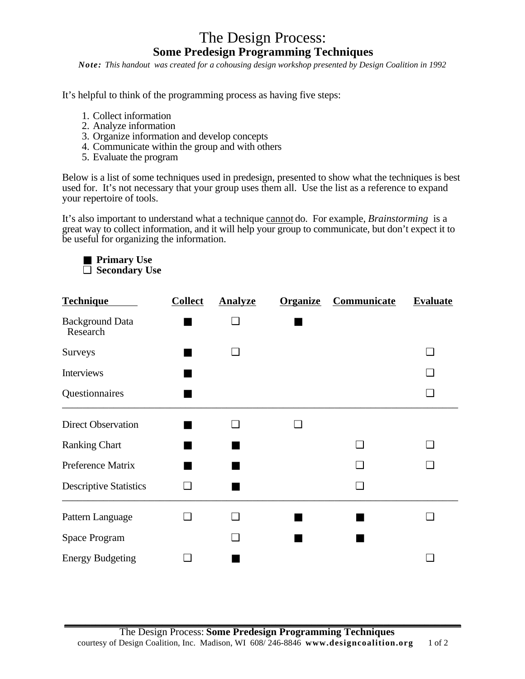## The Design Process: **Some Predesign Programming Techniques**

*Note: This handout was created for a cohousing design workshop presented by Design Coalition in 1992* 

It's helpful to think of the programming process as having five steps:

- 1. Collect information
- 2. Analyze information
- 3. Organize information and develop concepts
- 4. Communicate within the group and with others
- 5. Evaluate the program

Below is a list of some techniques used in predesign, presented to show what the techniques is best used for. It's not necessary that your group uses them all. Use the list as a reference to expand your repertoire of tools.

It's also important to understand what a technique cannot do. For example, *Brainstorming* is a great way to collect information, and it will help your group to communicate, but don't expect it to be useful for organizing the information.

■ **Primary Use** ❑ **Secondary Use**

| <b>Technique</b>                   | <b>Collect</b> | <b>Analyze</b>           | <b>Organize</b> | Communicate | <b>Evaluate</b> |
|------------------------------------|----------------|--------------------------|-----------------|-------------|-----------------|
| <b>Background Data</b><br>Research |                | $\overline{\phantom{a}}$ |                 |             |                 |
| Surveys                            |                | $\Box$                   |                 |             | n               |
| Interviews                         |                |                          |                 |             |                 |
| Questionnaires                     |                |                          |                 |             | n               |
| <b>Direct Observation</b>          |                | $\overline{\phantom{a}}$ | n               |             |                 |
| <b>Ranking Chart</b>               |                |                          |                 |             |                 |
| Preference Matrix                  |                |                          |                 |             | - 1             |
| <b>Descriptive Statistics</b>      | - 1            |                          |                 |             |                 |
| Pattern Language                   |                | $\overline{\phantom{a}}$ |                 |             |                 |
| Space Program                      |                | . I                      |                 |             |                 |
| <b>Energy Budgeting</b>            |                |                          |                 |             |                 |